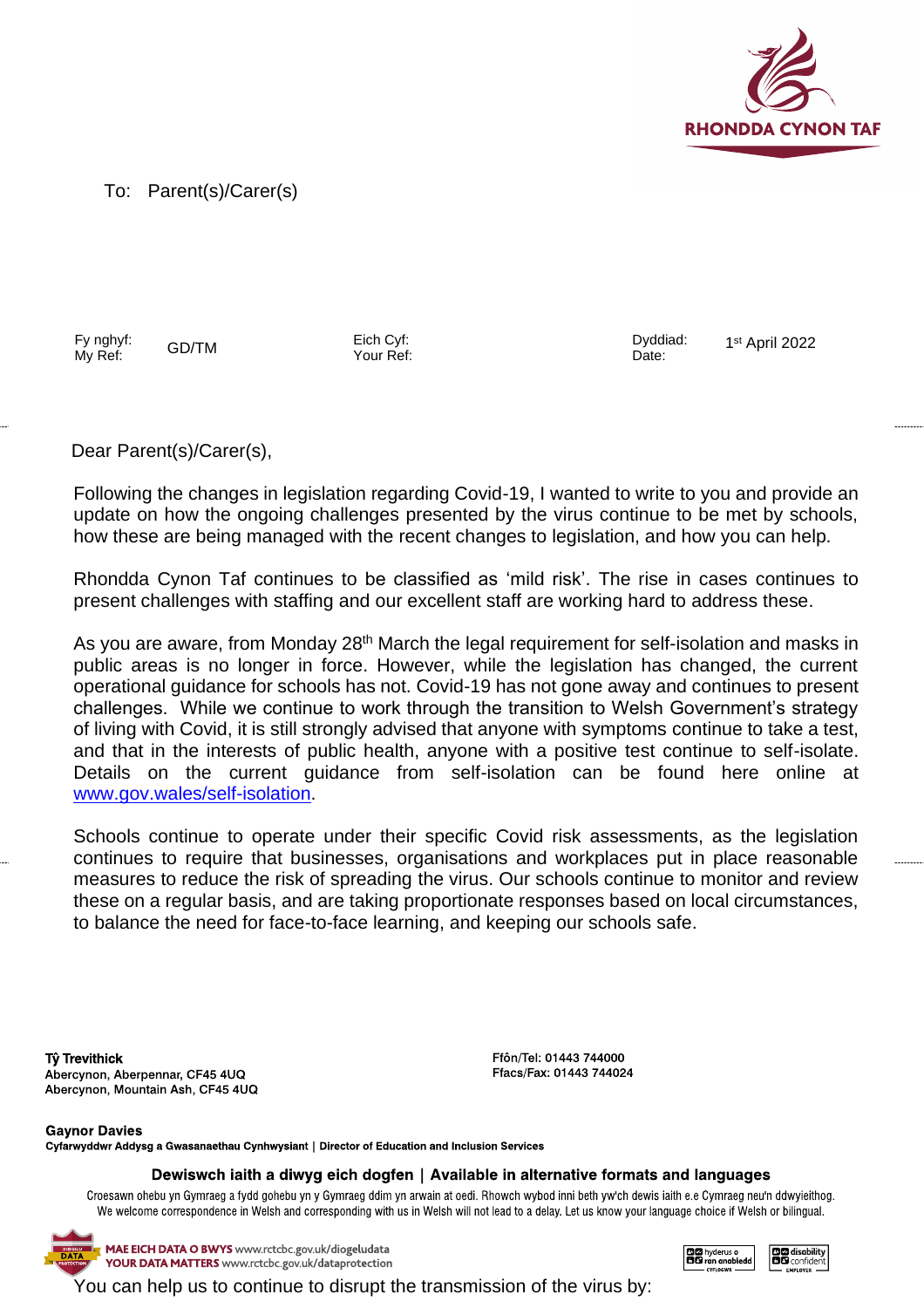

To: Parent(s)/Carer(s)

Fy nghyf: Fy nghyf: GD/TM Eich Cyf:<br>My Ref: GD/TM Your Ref

Your Ref:

Dyddiad: Date:

1 st April 2022

Dear Parent(s)/Carer(s),

Following the changes in legislation regarding Covid-19, I wanted to write to you and provide an update on how the ongoing challenges presented by the virus continue to be met by schools, how these are being managed with the recent changes to legislation, and how you can help.

Rhondda Cynon Taf continues to be classified as 'mild risk'. The rise in cases continues to present challenges with staffing and our excellent staff are working hard to address these.

As you are aware, from Monday 28<sup>th</sup> March the legal requirement for self-isolation and masks in public areas is no longer in force. However, while the legislation has changed, the current operational guidance for schools has not. Covid-19 has not gone away and continues to present challenges. While we continue to work through the transition to Welsh Government's strategy of living with Covid, it is still strongly advised that anyone with symptoms continue to take a test, and that in the interests of public health, anyone with a positive test continue to self-isolate. Details on the current guidance from self-isolation can be found here online at [www.gov.wales/self-isolation.](http://www.gov.wales/self-isolation)

Schools continue to operate under their specific Covid risk assessments, as the legislation continues to require that businesses, organisations and workplaces put in place reasonable measures to reduce the risk of spreading the virus. Our schools continue to monitor and review these on a regular basis, and are taking proportionate responses based on local circumstances, to balance the need for face-to-face learning, and keeping our schools safe.

**Tŷ Trevithick** Abercynon, Aberpennar, CF45 4UQ Abercynon, Mountain Ash, CF45 4UQ

Ffôn/Tel: 01443 744000 Ffacs/Fax: 01443 744024

**Gavnor Davies** Cyfarwyddwr Addysg a Gwasanaethau Cynhwysiant | Director of Education and Inclusion Services

Dewiswch iaith a diwyg eich dogfen | Available in alternative formats and languages

Croesawn ohebu yn Gymraeg a fydd gohebu yn y Gymraeg ddim yn arwain at oedi. Rhowch wybod inni beth yw'ch dewis iaith e.e Cymraeg neu'n ddwyieithog. We welcome correspondence in Welsh and corresponding with us in Welsh will not lead to a delay. Let us know your language choice if Welsh or bilingual.

MAE EICH DATA O BWYS www.rctcbc.gov.uk/diogeludata YOUR DATA MATTERS www.rctcbc.gov.uk/dataprotection



**DE** disability<br>**DE** confident

You can help us to continue to disrupt the transmission of the virus by: